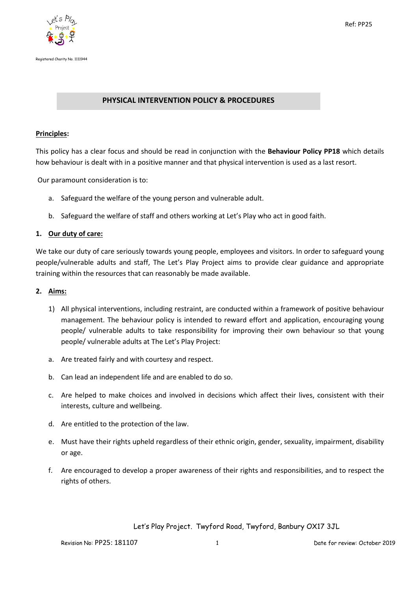

## **PHYSICAL INTERVENTION POLICY & PROCEDURES**

#### **Principles:**

This policy has a clear focus and should be read in conjunction with the **Behaviour Policy PP18** which details how behaviour is dealt with in a positive manner and that physical intervention is used as a last resort.

Our paramount consideration is to:

- a. Safeguard the welfare of the young person and vulnerable adult.
- b. Safeguard the welfare of staff and others working at Let's Play who act in good faith.

#### **1. Our duty of care:**

We take our duty of care seriously towards young people, employees and visitors. In order to safeguard young people/vulnerable adults and staff, The Let's Play Project aims to provide clear guidance and appropriate training within the resources that can reasonably be made available.

#### **2. Aims:**

- 1) All physical interventions, including restraint, are conducted within a framework of positive behaviour management. The behaviour policy is intended to reward effort and application, encouraging young people/ vulnerable adults to take responsibility for improving their own behaviour so that young people/ vulnerable adults at The Let's Play Project:
- a. Are treated fairly and with courtesy and respect.
- b. Can lead an independent life and are enabled to do so.
- c. Are helped to make choices and involved in decisions which affect their lives, consistent with their interests, culture and wellbeing.
- d. Are entitled to the protection of the law.
- e. Must have their rights upheld regardless of their ethnic origin, gender, sexuality, impairment, disability or age.
- f. Are encouraged to develop a proper awareness of their rights and responsibilities, and to respect the rights of others.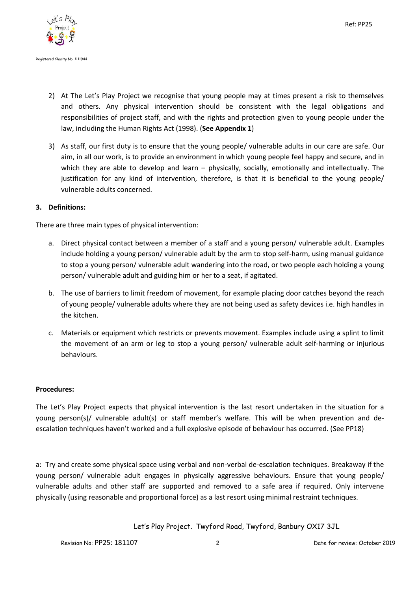

- 2) At The Let's Play Project we recognise that young people may at times present a risk to themselves and others. Any physical intervention should be consistent with the legal obligations and responsibilities of project staff, and with the rights and protection given to young people under the law, including the Human Rights Act (1998). (**See Appendix 1**)
- 3) As staff, our first duty is to ensure that the young people/ vulnerable adults in our care are safe. Our aim, in all our work, is to provide an environment in which young people feel happy and secure, and in which they are able to develop and learn – physically, socially, emotionally and intellectually. The justification for any kind of intervention, therefore, is that it is beneficial to the young people/ vulnerable adults concerned.

## **3. Definitions:**

There are three main types of physical intervention:

- a. Direct physical contact between a member of a staff and a young person/ vulnerable adult. Examples include holding a young person/ vulnerable adult by the arm to stop self-harm, using manual guidance to stop a young person/ vulnerable adult wandering into the road, or two people each holding a young person/ vulnerable adult and guiding him or her to a seat, if agitated.
- b. The use of barriers to limit freedom of movement, for example placing door catches beyond the reach of young people/ vulnerable adults where they are not being used as safety devices i.e. high handles in the kitchen.
- c. Materials or equipment which restricts or prevents movement. Examples include using a splint to limit the movement of an arm or leg to stop a young person/ vulnerable adult self-harming or injurious behaviours.

## **Procedures:**

The Let's Play Project expects that physical intervention is the last resort undertaken in the situation for a young person(s)/ vulnerable adult(s) or staff member's welfare. This will be when prevention and deescalation techniques haven't worked and a full explosive episode of behaviour has occurred. (See PP18)

a: Try and create some physical space using verbal and non-verbal de-escalation techniques. Breakaway if the young person/ vulnerable adult engages in physically aggressive behaviours. Ensure that young people/ vulnerable adults and other staff are supported and removed to a safe area if required. Only intervene physically (using reasonable and proportional force) as a last resort using minimal restraint techniques.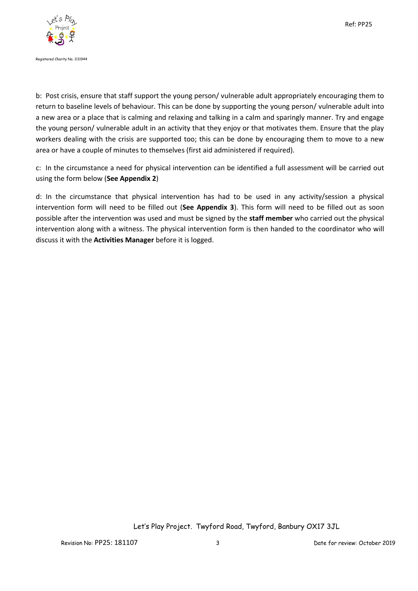

b: Post crisis, ensure that staff support the young person/ vulnerable adult appropriately encouraging them to return to baseline levels of behaviour. This can be done by supporting the young person/ vulnerable adult into a new area or a place that is calming and relaxing and talking in a calm and sparingly manner. Try and engage the young person/ vulnerable adult in an activity that they enjoy or that motivates them. Ensure that the play workers dealing with the crisis are supported too; this can be done by encouraging them to move to a new area or have a couple of minutes to themselves (first aid administered if required).

c: In the circumstance a need for physical intervention can be identified a full assessment will be carried out using the form below (**See Appendix 2**)

d: In the circumstance that physical intervention has had to be used in any activity/session a physical intervention form will need to be filled out (**See Appendix 3**). This form will need to be filled out as soon possible after the intervention was used and must be signed by the **staff member** who carried out the physical intervention along with a witness. The physical intervention form is then handed to the coordinator who will discuss it with the **Activities Manager** before it is logged.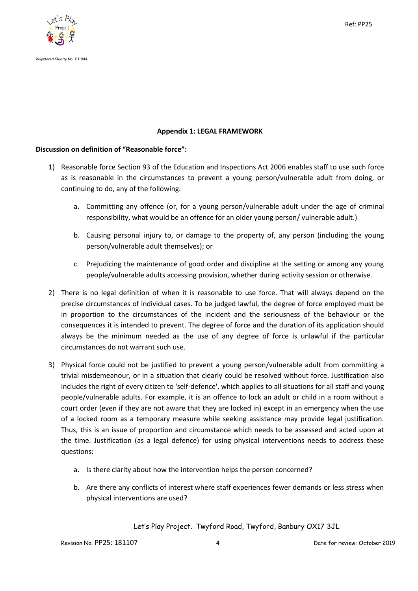

## **Appendix 1: LEGAL FRAMEWORK**

## **Discussion on definition of "Reasonable force":**

- 1) Reasonable force Section 93 of the Education and Inspections Act 2006 enables staff to use such force as is reasonable in the circumstances to prevent a young person/vulnerable adult from doing, or continuing to do, any of the following:
	- a. Committing any offence (or, for a young person/vulnerable adult under the age of criminal responsibility, what would be an offence for an older young person/ vulnerable adult.)
	- b. Causing personal injury to, or damage to the property of, any person (including the young person/vulnerable adult themselves); or
	- c. Prejudicing the maintenance of good order and discipline at the setting or among any young people/vulnerable adults accessing provision, whether during activity session or otherwise.
- 2) There is no legal definition of when it is reasonable to use force. That will always depend on the precise circumstances of individual cases. To be judged lawful, the degree of force employed must be in proportion to the circumstances of the incident and the seriousness of the behaviour or the consequences it is intended to prevent. The degree of force and the duration of its application should always be the minimum needed as the use of any degree of force is unlawful if the particular circumstances do not warrant such use.
- 3) Physical force could not be justified to prevent a young person/vulnerable adult from committing a trivial misdemeanour, or in a situation that clearly could be resolved without force. Justification also includes the right of every citizen to 'self-defence', which applies to all situations for all staff and young people/vulnerable adults. For example, it is an offence to lock an adult or child in a room without a court order (even if they are not aware that they are locked in) except in an emergency when the use of a locked room as a temporary measure while seeking assistance may provide legal justification. Thus, this is an issue of proportion and circumstance which needs to be assessed and acted upon at the time. Justification (as a legal defence) for using physical interventions needs to address these questions:
	- a. Is there clarity about how the intervention helps the person concerned?
	- b. Are there any conflicts of interest where staff experiences fewer demands or less stress when physical interventions are used?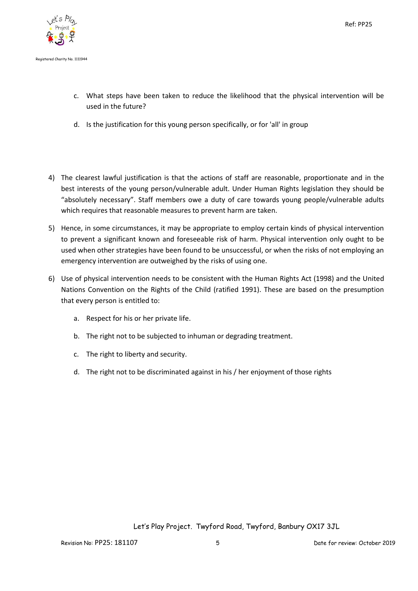

- c. What steps have been taken to reduce the likelihood that the physical intervention will be used in the future?
- d. Is the justification for this young person specifically, or for 'all' in group
- 4) The clearest lawful justification is that the actions of staff are reasonable, proportionate and in the best interests of the young person/vulnerable adult. Under Human Rights legislation they should be "absolutely necessary". Staff members owe a duty of care towards young people/vulnerable adults which requires that reasonable measures to prevent harm are taken.
- 5) Hence, in some circumstances, it may be appropriate to employ certain kinds of physical intervention to prevent a significant known and foreseeable risk of harm. Physical intervention only ought to be used when other strategies have been found to be unsuccessful, or when the risks of not employing an emergency intervention are outweighed by the risks of using one.
- 6) Use of physical intervention needs to be consistent with the Human Rights Act (1998) and the United Nations Convention on the Rights of the Child (ratified 1991). These are based on the presumption that every person is entitled to:
	- a. Respect for his or her private life.
	- b. The right not to be subjected to inhuman or degrading treatment.
	- c. The right to liberty and security.
	- d. The right not to be discriminated against in his / her enjoyment of those rights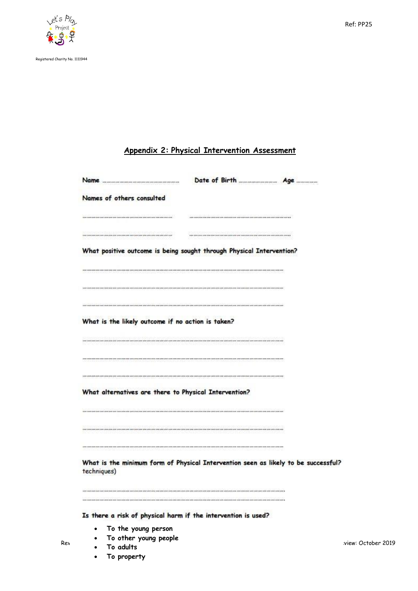

Registered Charity No. 1111944

# **Appendix 2: Physical Intervention Assessment**

|                           | Name                                              |                                                                                    |  |
|---------------------------|---------------------------------------------------|------------------------------------------------------------------------------------|--|
| Names of others consulted |                                                   |                                                                                    |  |
|                           |                                                   |                                                                                    |  |
|                           |                                                   |                                                                                    |  |
|                           |                                                   | What positive outcome is being sought through Physical Intervention?               |  |
|                           |                                                   |                                                                                    |  |
|                           |                                                   |                                                                                    |  |
|                           |                                                   |                                                                                    |  |
|                           | What is the likely outcome if no action is taken? |                                                                                    |  |
|                           |                                                   |                                                                                    |  |
|                           |                                                   |                                                                                    |  |
|                           |                                                   |                                                                                    |  |
|                           |                                                   | What alternatives are there to Physical Intervention?                              |  |
|                           |                                                   |                                                                                    |  |
|                           |                                                   |                                                                                    |  |
|                           |                                                   |                                                                                    |  |
|                           |                                                   |                                                                                    |  |
| techniques)               |                                                   | What is the minimum form of Physical Intervention seen as likely to be successful? |  |
|                           |                                                   |                                                                                    |  |
|                           |                                                   |                                                                                    |  |
|                           |                                                   | Is there a risk of physical harm if the intervention is used?                      |  |
| $\bullet$                 | To the young person<br>To other young people      |                                                                                    |  |

**To property**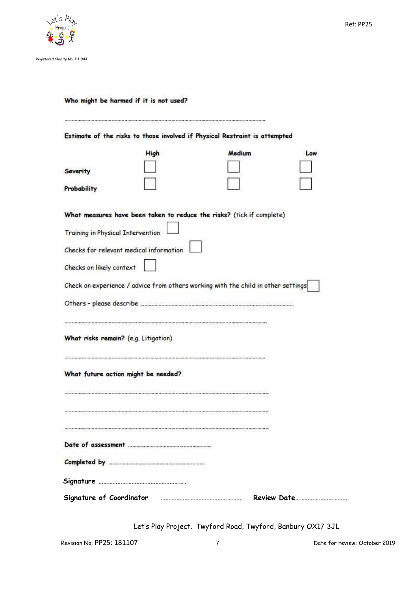

## Who might be harmed if it is not used?

| Estimate of the risks to those involved if Physical Restraint is attempted        |      |        |  |     |  |  |
|-----------------------------------------------------------------------------------|------|--------|--|-----|--|--|
|                                                                                   | High | Medium |  | Low |  |  |
| <b>Severity</b>                                                                   |      |        |  |     |  |  |
| Probability                                                                       |      |        |  |     |  |  |
| What measures have been taken to reduce the risks? (tick if complete)             |      |        |  |     |  |  |
| <b>Training in Physical Intervention</b>                                          |      |        |  |     |  |  |
| Checks for relevant medical information                                           |      |        |  |     |  |  |
| Checks on likely context                                                          |      |        |  |     |  |  |
| Check on experience / advice from others working with the child in other settings |      |        |  |     |  |  |
|                                                                                   |      |        |  |     |  |  |
| What risks remain? (e.g. Litigation)                                              |      |        |  |     |  |  |
| What future action might be needed?                                               |      |        |  |     |  |  |
|                                                                                   |      |        |  |     |  |  |
|                                                                                   |      |        |  |     |  |  |
|                                                                                   |      |        |  |     |  |  |
|                                                                                   |      |        |  |     |  |  |
|                                                                                   |      |        |  |     |  |  |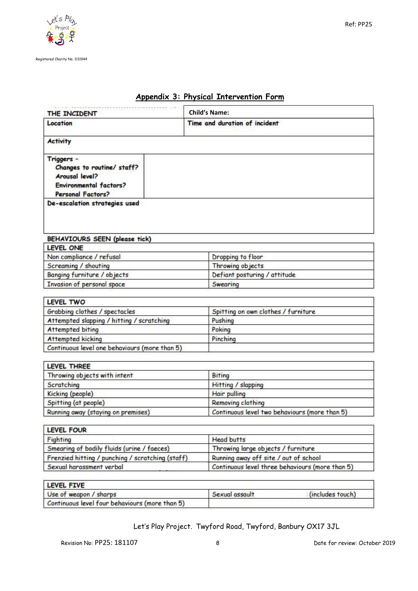

| THE INCIDENT                                                                                                     | <b>Child's Name:</b>                          |  |
|------------------------------------------------------------------------------------------------------------------|-----------------------------------------------|--|
| Location                                                                                                         | Time and duration of incident                 |  |
| <b>Activity</b>                                                                                                  |                                               |  |
| Triggers -<br>Changes to routine/ staff?<br>Arousal level?<br><b>Environmental factors?</b><br>Personal Factors? |                                               |  |
| De-escalation strategies used                                                                                    |                                               |  |
| BEHAVIOURS SEEN (please tick)                                                                                    |                                               |  |
| LEVEL ONE                                                                                                        |                                               |  |
| Non compliance / refusal                                                                                         | Dropping to floor                             |  |
| Screaming / shouting                                                                                             | Throwing objects                              |  |
| Banging furniture / objects                                                                                      | Defiant posturing / attitude                  |  |
| Invasion of personal space                                                                                       | Swearing                                      |  |
| LEVEL TWO                                                                                                        |                                               |  |
| Grabbing clothes / spectacles                                                                                    | Spitting on own clothes / furniture           |  |
| Attempted slapping / hitting / scratching                                                                        | Pushing                                       |  |
| Attempted biting                                                                                                 | Poking                                        |  |
| Attempted kicking                                                                                                | Pinching                                      |  |
| Continuous level one behaviours (more than 5)                                                                    |                                               |  |
| LEVEL THREE                                                                                                      |                                               |  |
| Throwing objects with intent                                                                                     | <b>Biting</b>                                 |  |
| Scratching                                                                                                       | Hitting / slapping                            |  |
| Kicking (people)                                                                                                 | Hair pulling                                  |  |
| Spitting (at people)                                                                                             | Removing clothing                             |  |
| Running away (staying on premises)                                                                               | Continuous level two behaviours (more than 5) |  |
| <b>LEVEL FOUR</b>                                                                                                |                                               |  |
| Fighting                                                                                                         | <b>Head butts</b>                             |  |
| Smearing of bodily fluids (urine / faeces)                                                                       | Throwing large objects / furniture            |  |
| Frenzied hitting / punching / scratching (staff)                                                                 | Running away off site / out of school         |  |

# **Appendix 3: Physical Intervention Form**

| LEVEL FIVE                                     |                |                  |
|------------------------------------------------|----------------|------------------|
| Use of weapon / sharps                         | Sexual assault | (includes touch) |
| Continuous level four behaviours (more than 5) |                |                  |

Let's Play Project. Twyford Road, Twyford, Banbury OX17 3JL

Continuous level three behaviours (more than 5)

Sexual harassment verbal